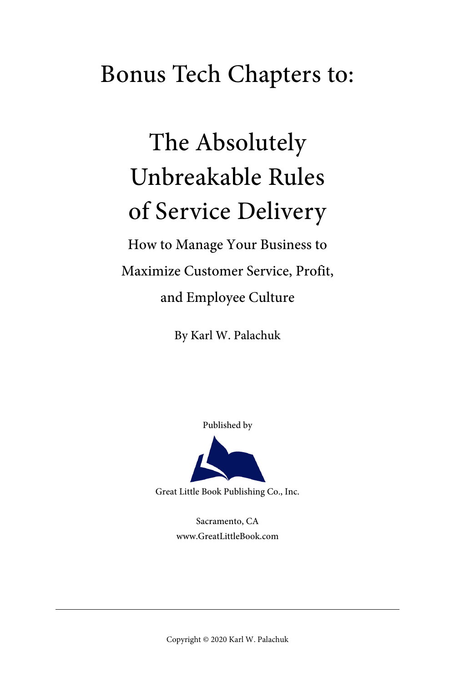## Bonus Tech Chapters to:

# The Absolutely Unbreakable Rules of Service Delivery

How to Manage Your Business to Maximize Customer Service, Profit, and Employee Culture

By Karl W. Palachuk

Published by

Great Little Book Publishing Co., Inc.

Sacramento, CA www.GreatLittleBook.com

Copyright © 2020 Karl W. Palachuk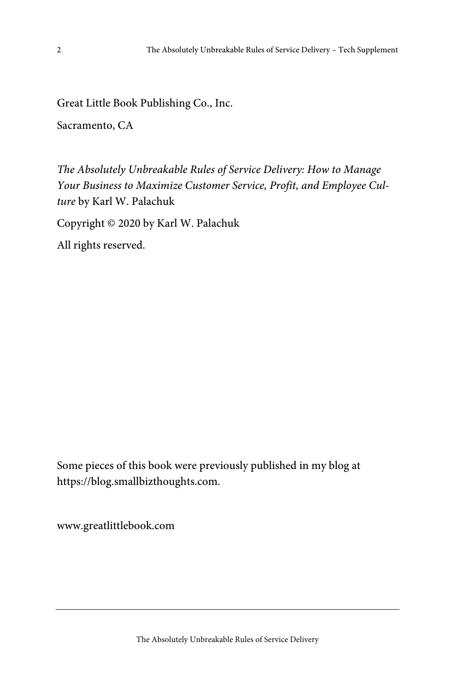Great Little Book Publishing Co., Inc.

Sacramento, CA

The Absolutely Unbreakable Rules of Service Delivery: How to Manage Your Business to Maximize Customer Service, Profit, and Employee Culture by Karl W. Palachuk

Copyright © 2020 by Karl W. Palachuk

All rights reserved.

Some pieces of this book were previously published in my blog at https://blog.smallbizthoughts.com.

www.greatlittlebook.com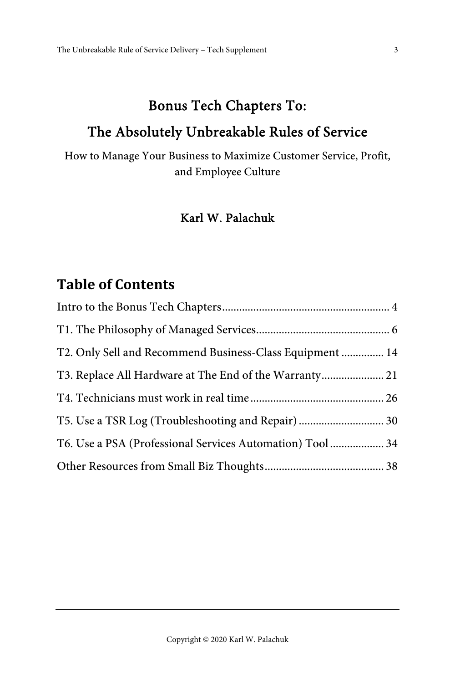## Bonus Tech Chapters To:

#### The Absolutely Unbreakable Rules of Service

How to Manage Your Business to Maximize Customer Service, Profit, and Employee Culture

#### Karl W. Palachuk

#### **Table of Contents**

| T2. Only Sell and Recommend Business-Class Equipment  14  |  |
|-----------------------------------------------------------|--|
| T3. Replace All Hardware at The End of the Warranty 21    |  |
|                                                           |  |
|                                                           |  |
| T6. Use a PSA (Professional Services Automation) Tool  34 |  |
|                                                           |  |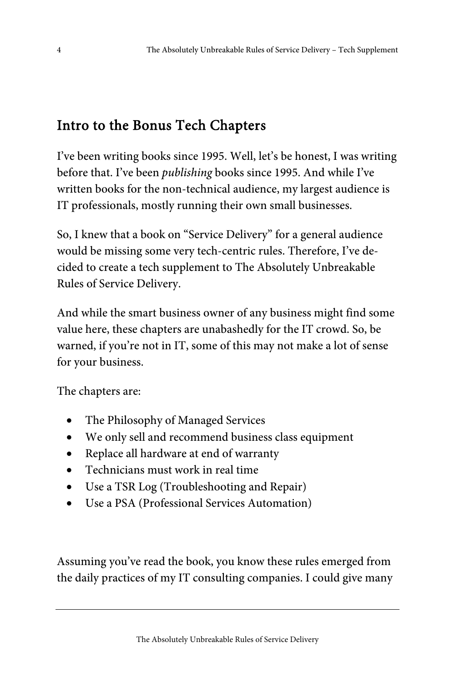## Intro to the Bonus Tech Chapters

I've been writing books since 1995. Well, let's be honest, I was writing before that. I've been publishing books since 1995. And while I've written books for the non-technical audience, my largest audience is IT professionals, mostly running their own small businesses.

So, I knew that a book on "Service Delivery" for a general audience would be missing some very tech-centric rules. Therefore, I've decided to create a tech supplement to The Absolutely Unbreakable Rules of Service Delivery.

And while the smart business owner of any business might find some value here, these chapters are unabashedly for the IT crowd. So, be warned, if you're not in IT, some of this may not make a lot of sense for your business.

The chapters are:

- The Philosophy of Managed Services
- We only sell and recommend business class equipment
- Replace all hardware at end of warranty
- Technicians must work in real time
- Use a TSR Log (Troubleshooting and Repair)
- Use a PSA (Professional Services Automation)

Assuming you've read the book, you know these rules emerged from the daily practices of my IT consulting companies. I could give many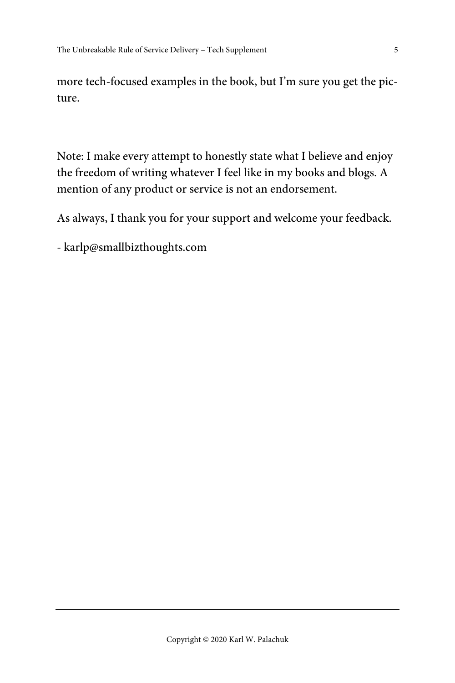more tech-focused examples in the book, but I'm sure you get the picture.

Note: I make every attempt to honestly state what I believe and enjoy the freedom of writing whatever I feel like in my books and blogs. A mention of any product or service is not an endorsement.

As always, I thank you for your support and welcome your feedback.

- karlp@smallbizthoughts.com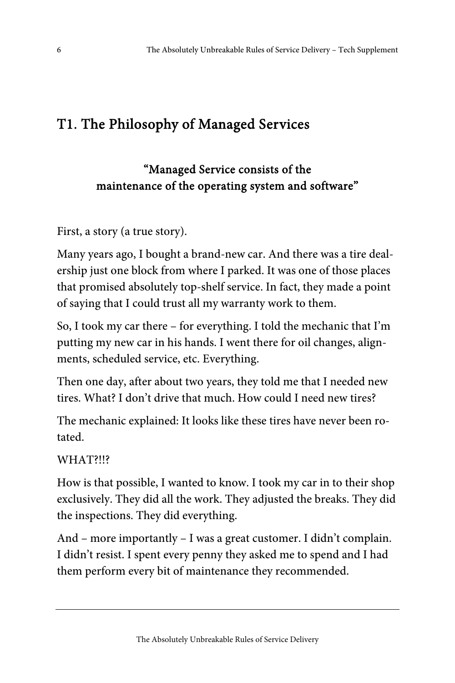## T1. The Philosophy of Managed Services

#### "Managed Service consists of the maintenance of the operating system and software"

First, a story (a true story).

Many years ago, I bought a brand-new car. And there was a tire dealership just one block from where I parked. It was one of those places that promised absolutely top-shelf service. In fact, they made a point of saying that I could trust all my warranty work to them.

So, I took my car there – for everything. I told the mechanic that I'm putting my new car in his hands. I went there for oil changes, alignments, scheduled service, etc. Everything.

Then one day, after about two years, they told me that I needed new tires. What? I don't drive that much. How could I need new tires?

The mechanic explained: It looks like these tires have never been rotated.

WHAT?!!?

How is that possible, I wanted to know. I took my car in to their shop exclusively. They did all the work. They adjusted the breaks. They did the inspections. They did everything.

And – more importantly – I was a great customer. I didn't complain. I didn't resist. I spent every penny they asked me to spend and I had them perform every bit of maintenance they recommended.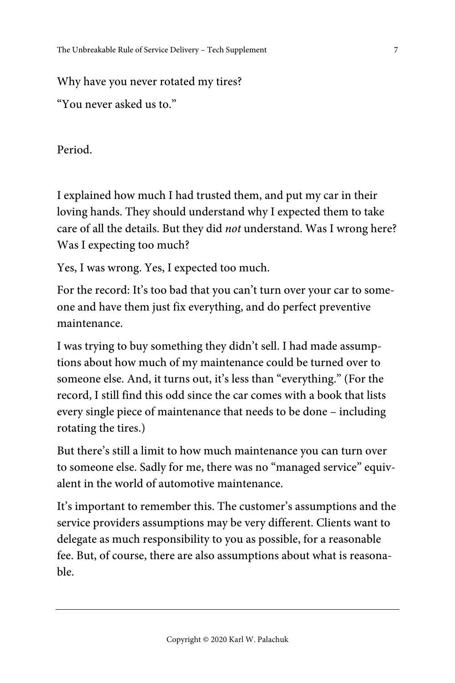#### Why have you never rotated my tires?

"You never asked us to."

Period.

I explained how much I had trusted them, and put my car in their loving hands. They should understand why I expected them to take care of all the details. But they did not understand. Was I wrong here? Was I expecting too much?

Yes, I was wrong. Yes, I expected too much.

For the record: It's too bad that you can't turn over your car to someone and have them just fix everything, and do perfect preventive maintenance.

I was trying to buy something they didn't sell. I had made assumptions about how much of my maintenance could be turned over to someone else. And, it turns out, it's less than "everything." (For the record, I still find this odd since the car comes with a book that lists every single piece of maintenance that needs to be done – including rotating the tires.)

But there's still a limit to how much maintenance you can turn over to someone else. Sadly for me, there was no "managed service" equivalent in the world of automotive maintenance.

It's important to remember this. The customer's assumptions and the service providers assumptions may be very different. Clients want to delegate as much responsibility to you as possible, for a reasonable fee. But, of course, there are also assumptions about what is reasonable.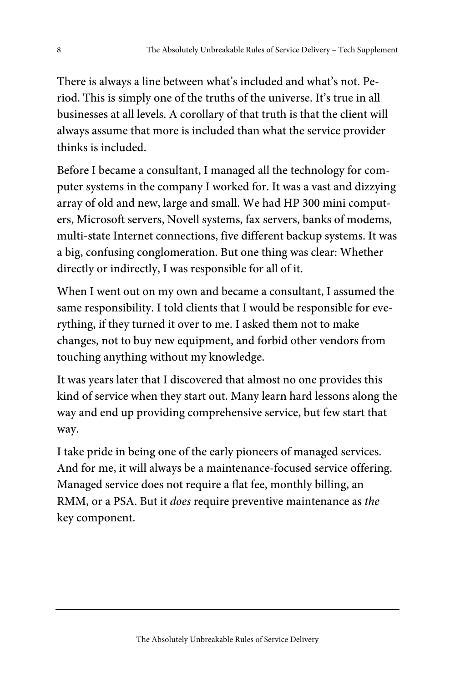There is always a line between what's included and what's not. Period. This is simply one of the truths of the universe. It's true in all businesses at all levels. A corollary of that truth is that the client will always assume that more is included than what the service provider thinks is included.

Before I became a consultant, I managed all the technology for computer systems in the company I worked for. It was a vast and dizzying array of old and new, large and small. We had HP 300 mini computers, Microsoft servers, Novell systems, fax servers, banks of modems, multi-state Internet connections, five different backup systems. It was a big, confusing conglomeration. But one thing was clear: Whether directly or indirectly, I was responsible for all of it.

When I went out on my own and became a consultant, I assumed the same responsibility. I told clients that I would be responsible for everything, if they turned it over to me. I asked them not to make changes, not to buy new equipment, and forbid other vendors from touching anything without my knowledge.

It was years later that I discovered that almost no one provides this kind of service when they start out. Many learn hard lessons along the way and end up providing comprehensive service, but few start that way.

I take pride in being one of the early pioneers of managed services. And for me, it will always be a maintenance-focused service offering. Managed service does not require a flat fee, monthly billing, an RMM, or a PSA. But it does require preventive maintenance as the key component.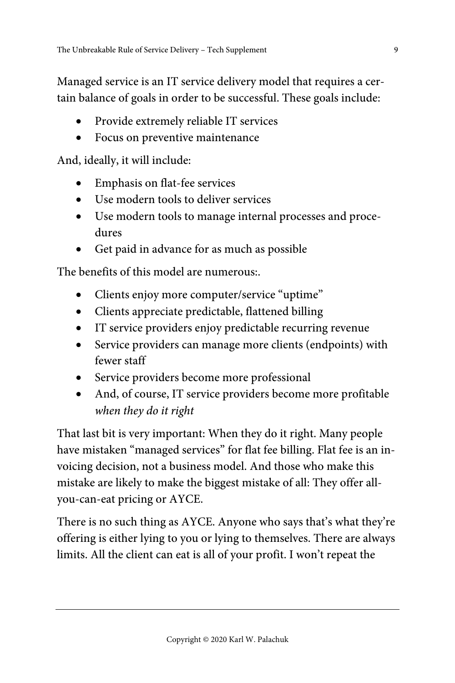Managed service is an IT service delivery model that requires a certain balance of goals in order to be successful. These goals include:

- Provide extremely reliable IT services
- Focus on preventive maintenance

And, ideally, it will include:

- Emphasis on flat-fee services
- Use modern tools to deliver services
- Use modern tools to manage internal processes and procedures
- Get paid in advance for as much as possible

The benefits of this model are numerous:.

- Clients enjoy more computer/service "uptime"
- Clients appreciate predictable, flattened billing
- IT service providers enjoy predictable recurring revenue
- Service providers can manage more clients (endpoints) with fewer staff
- Service providers become more professional
- And, of course, IT service providers become more profitable when they do it right

That last bit is very important: When they do it right. Many people have mistaken "managed services" for flat fee billing. Flat fee is an invoicing decision, not a business model. And those who make this mistake are likely to make the biggest mistake of all: They offer allyou-can-eat pricing or AYCE.

There is no such thing as AYCE. Anyone who says that's what they're offering is either lying to you or lying to themselves. There are always limits. All the client can eat is all of your profit. I won't repeat the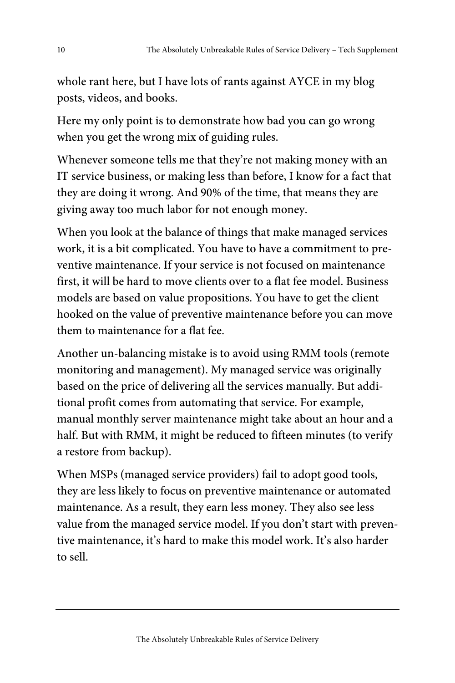whole rant here, but I have lots of rants against AYCE in my blog posts, videos, and books.

Here my only point is to demonstrate how bad you can go wrong when you get the wrong mix of guiding rules.

Whenever someone tells me that they're not making money with an IT service business, or making less than before, I know for a fact that they are doing it wrong. And 90% of the time, that means they are giving away too much labor for not enough money.

When you look at the balance of things that make managed services work, it is a bit complicated. You have to have a commitment to preventive maintenance. If your service is not focused on maintenance first, it will be hard to move clients over to a flat fee model. Business models are based on value propositions. You have to get the client hooked on the value of preventive maintenance before you can move them to maintenance for a flat fee.

Another un-balancing mistake is to avoid using RMM tools (remote monitoring and management). My managed service was originally based on the price of delivering all the services manually. But additional profit comes from automating that service. For example, manual monthly server maintenance might take about an hour and a half. But with RMM, it might be reduced to fifteen minutes (to verify a restore from backup).

When MSPs (managed service providers) fail to adopt good tools, they are less likely to focus on preventive maintenance or automated maintenance. As a result, they earn less money. They also see less value from the managed service model. If you don't start with preventive maintenance, it's hard to make this model work. It's also harder to sell.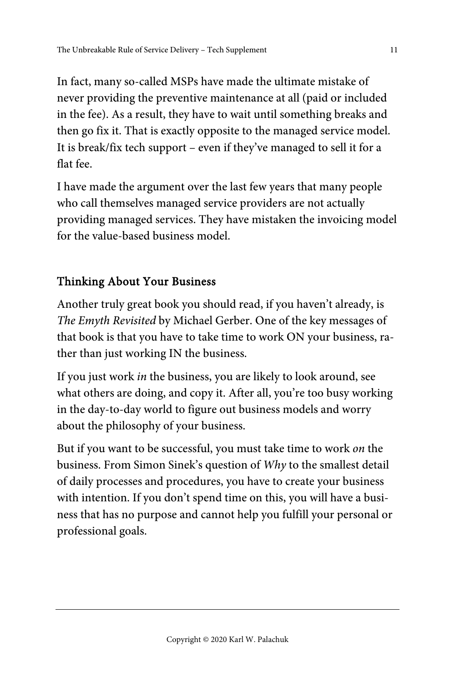In fact, many so-called MSPs have made the ultimate mistake of never providing the preventive maintenance at all (paid or included in the fee). As a result, they have to wait until something breaks and then go fix it. That is exactly opposite to the managed service model. It is break/fix tech support – even if they've managed to sell it for a flat fee.

I have made the argument over the last few years that many people who call themselves managed service providers are not actually providing managed services. They have mistaken the invoicing model for the value-based business model.

#### Thinking About Your Business

Another truly great book you should read, if you haven't already, is The Emyth Revisited by Michael Gerber. One of the key messages of that book is that you have to take time to work ON your business, rather than just working IN the business.

If you just work in the business, you are likely to look around, see what others are doing, and copy it. After all, you're too busy working in the day-to-day world to figure out business models and worry about the philosophy of your business.

But if you want to be successful, you must take time to work on the business. From Simon Sinek's question of Why to the smallest detail of daily processes and procedures, you have to create your business with intention. If you don't spend time on this, you will have a business that has no purpose and cannot help you fulfill your personal or professional goals.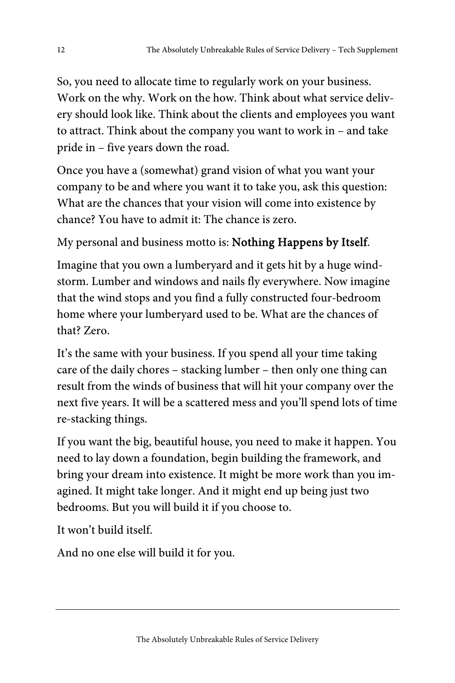So, you need to allocate time to regularly work on your business. Work on the why. Work on the how. Think about what service delivery should look like. Think about the clients and employees you want to attract. Think about the company you want to work in – and take pride in – five years down the road.

Once you have a (somewhat) grand vision of what you want your company to be and where you want it to take you, ask this question: What are the chances that your vision will come into existence by chance? You have to admit it: The chance is zero.

My personal and business motto is: Nothing Happens by Itself.

Imagine that you own a lumberyard and it gets hit by a huge windstorm. Lumber and windows and nails fly everywhere. Now imagine that the wind stops and you find a fully constructed four-bedroom home where your lumberyard used to be. What are the chances of that? Zero.

It's the same with your business. If you spend all your time taking care of the daily chores – stacking lumber – then only one thing can result from the winds of business that will hit your company over the next five years. It will be a scattered mess and you'll spend lots of time re-stacking things.

If you want the big, beautiful house, you need to make it happen. You need to lay down a foundation, begin building the framework, and bring your dream into existence. It might be more work than you imagined. It might take longer. And it might end up being just two bedrooms. But you will build it if you choose to.

It won't build itself.

And no one else will build it for you.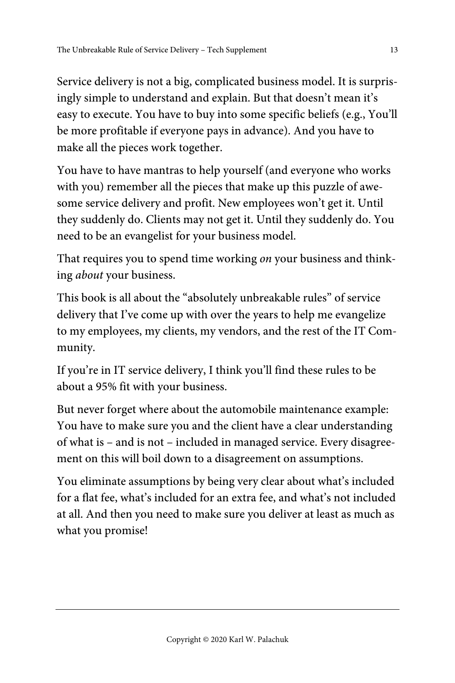Service delivery is not a big, complicated business model. It is surprisingly simple to understand and explain. But that doesn't mean it's easy to execute. You have to buy into some specific beliefs (e.g., You'll be more profitable if everyone pays in advance). And you have to make all the pieces work together.

You have to have mantras to help yourself (and everyone who works with you) remember all the pieces that make up this puzzle of awesome service delivery and profit. New employees won't get it. Until they suddenly do. Clients may not get it. Until they suddenly do. You need to be an evangelist for your business model.

That requires you to spend time working on your business and thinking about your business.

This book is all about the "absolutely unbreakable rules" of service delivery that I've come up with over the years to help me evangelize to my employees, my clients, my vendors, and the rest of the IT Community.

If you're in IT service delivery, I think you'll find these rules to be about a 95% fit with your business.

But never forget where about the automobile maintenance example: You have to make sure you and the client have a clear understanding of what is – and is not – included in managed service. Every disagreement on this will boil down to a disagreement on assumptions.

You eliminate assumptions by being very clear about what's included for a flat fee, what's included for an extra fee, and what's not included at all. And then you need to make sure you deliver at least as much as what you promise!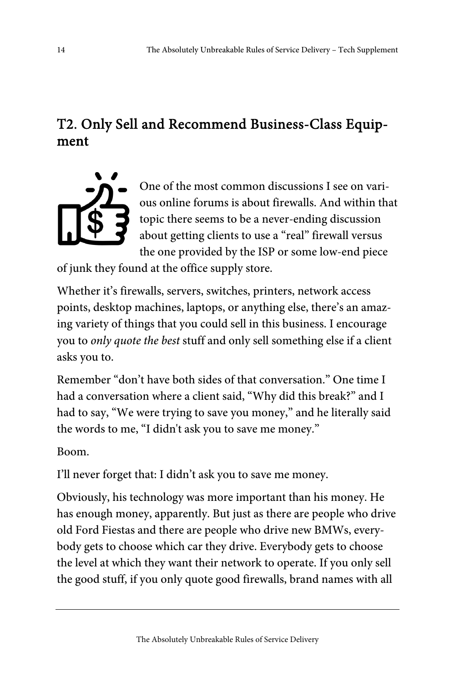## T2. Only Sell and Recommend Business-Class Equipment



One of the most common discussions I see on various online forums is about firewalls. And within that topic there seems to be a never-ending discussion about getting clients to use a "real" firewall versus the one provided by the ISP or some low-end piece

of junk they found at the office supply store.

Whether it's firewalls, servers, switches, printers, network access points, desktop machines, laptops, or anything else, there's an amazing variety of things that you could sell in this business. I encourage you to only quote the best stuff and only sell something else if a client asks you to.

Remember "don't have both sides of that conversation." One time I had a conversation where a client said, "Why did this break?" and I had to say, "We were trying to save you money," and he literally said the words to me, "I didn't ask you to save me money."

Boom.

I'll never forget that: I didn't ask you to save me money.

Obviously, his technology was more important than his money. He has enough money, apparently. But just as there are people who drive old Ford Fiestas and there are people who drive new BMWs, everybody gets to choose which car they drive. Everybody gets to choose the level at which they want their network to operate. If you only sell the good stuff, if you only quote good firewalls, brand names with all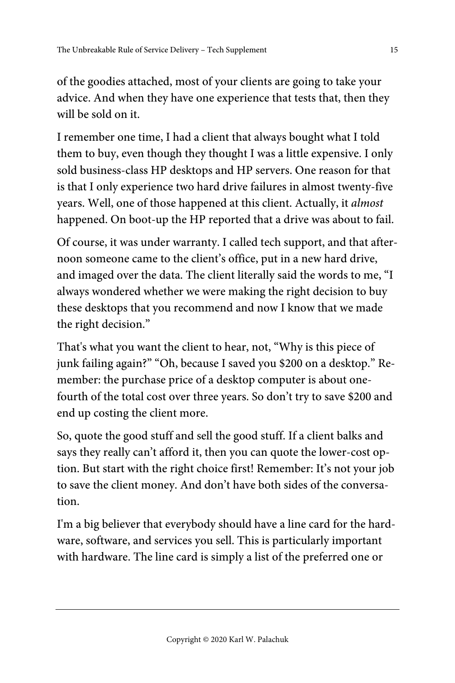of the goodies attached, most of your clients are going to take your advice. And when they have one experience that tests that, then they will be sold on it.

I remember one time, I had a client that always bought what I told them to buy, even though they thought I was a little expensive. I only sold business-class HP desktops and HP servers. One reason for that is that I only experience two hard drive failures in almost twenty-five years. Well, one of those happened at this client. Actually, it almost happened. On boot-up the HP reported that a drive was about to fail.

Of course, it was under warranty. I called tech support, and that afternoon someone came to the client's office, put in a new hard drive, and imaged over the data. The client literally said the words to me, "I always wondered whether we were making the right decision to buy these desktops that you recommend and now I know that we made the right decision."

That's what you want the client to hear, not, "Why is this piece of junk failing again?" "Oh, because I saved you \$200 on a desktop." Remember: the purchase price of a desktop computer is about onefourth of the total cost over three years. So don't try to save \$200 and end up costing the client more.

So, quote the good stuff and sell the good stuff. If a client balks and says they really can't afford it, then you can quote the lower-cost option. But start with the right choice first! Remember: It's not your job to save the client money. And don't have both sides of the conversation.

I'm a big believer that everybody should have a line card for the hardware, software, and services you sell. This is particularly important with hardware. The line card is simply a list of the preferred one or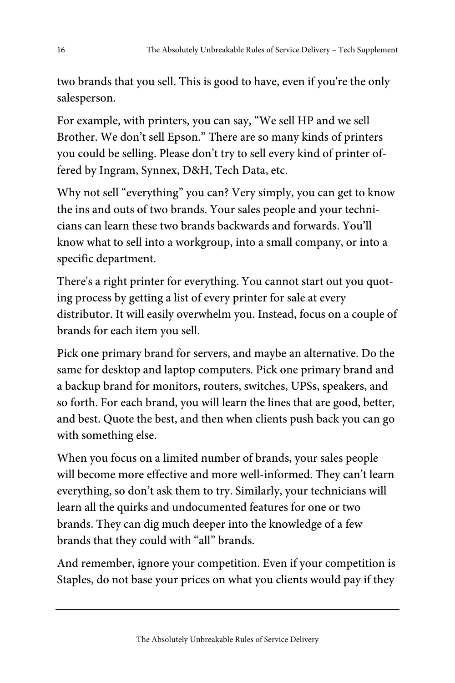two brands that you sell. This is good to have, even if you're the only salesperson.

For example, with printers, you can say, "We sell HP and we sell Brother. We don't sell Epson." There are so many kinds of printers you could be selling. Please don't try to sell every kind of printer offered by Ingram, Synnex, D&H, Tech Data, etc.

Why not sell "everything" you can? Very simply, you can get to know the ins and outs of two brands. Your sales people and your technicians can learn these two brands backwards and forwards. You'll know what to sell into a workgroup, into a small company, or into a specific department.

There's a right printer for everything. You cannot start out you quoting process by getting a list of every printer for sale at every distributor. It will easily overwhelm you. Instead, focus on a couple of brands for each item you sell.

Pick one primary brand for servers, and maybe an alternative. Do the same for desktop and laptop computers. Pick one primary brand and a backup brand for monitors, routers, switches, UPSs, speakers, and so forth. For each brand, you will learn the lines that are good, better, and best. Quote the best, and then when clients push back you can go with something else.

When you focus on a limited number of brands, your sales people will become more effective and more well-informed. They can't learn everything, so don't ask them to try. Similarly, your technicians will learn all the quirks and undocumented features for one or two brands. They can dig much deeper into the knowledge of a few brands that they could with "all" brands.

And remember, ignore your competition. Even if your competition is Staples, do not base your prices on what you clients would pay if they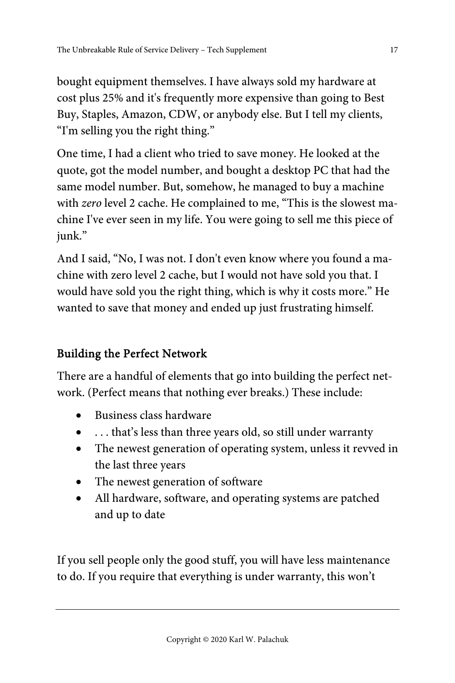bought equipment themselves. I have always sold my hardware at cost plus 25% and it's frequently more expensive than going to Best Buy, Staples, Amazon, CDW, or anybody else. But I tell my clients, "I'm selling you the right thing."

One time, I had a client who tried to save money. He looked at the quote, got the model number, and bought a desktop PC that had the same model number. But, somehow, he managed to buy a machine with zero level 2 cache. He complained to me, "This is the slowest machine I've ever seen in my life. You were going to sell me this piece of junk."

And I said, "No, I was not. I don't even know where you found a machine with zero level 2 cache, but I would not have sold you that. I would have sold you the right thing, which is why it costs more." He wanted to save that money and ended up just frustrating himself.

#### Building the Perfect Network

There are a handful of elements that go into building the perfect network. (Perfect means that nothing ever breaks.) These include:

- Business class hardware
- . . . that's less than three years old, so still under warranty
- The newest generation of operating system, unless it revved in the last three years
- The newest generation of software
- All hardware, software, and operating systems are patched and up to date

If you sell people only the good stuff, you will have less maintenance to do. If you require that everything is under warranty, this won't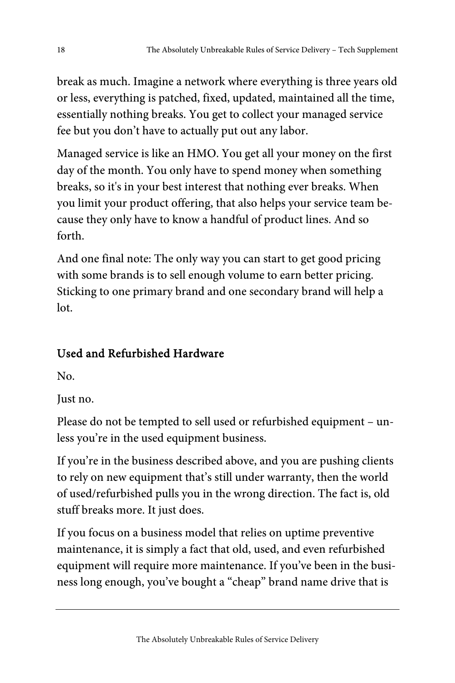break as much. Imagine a network where everything is three years old or less, everything is patched, fixed, updated, maintained all the time, essentially nothing breaks. You get to collect your managed service fee but you don't have to actually put out any labor.

Managed service is like an HMO. You get all your money on the first day of the month. You only have to spend money when something breaks, so it's in your best interest that nothing ever breaks. When you limit your product offering, that also helps your service team because they only have to know a handful of product lines. And so forth.

And one final note: The only way you can start to get good pricing with some brands is to sell enough volume to earn better pricing. Sticking to one primary brand and one secondary brand will help a lot.

### Used and Refurbished Hardware

No.

Just no.

Please do not be tempted to sell used or refurbished equipment – unless you're in the used equipment business.

If you're in the business described above, and you are pushing clients to rely on new equipment that's still under warranty, then the world of used/refurbished pulls you in the wrong direction. The fact is, old stuff breaks more. It just does.

If you focus on a business model that relies on uptime preventive maintenance, it is simply a fact that old, used, and even refurbished equipment will require more maintenance. If you've been in the business long enough, you've bought a "cheap" brand name drive that is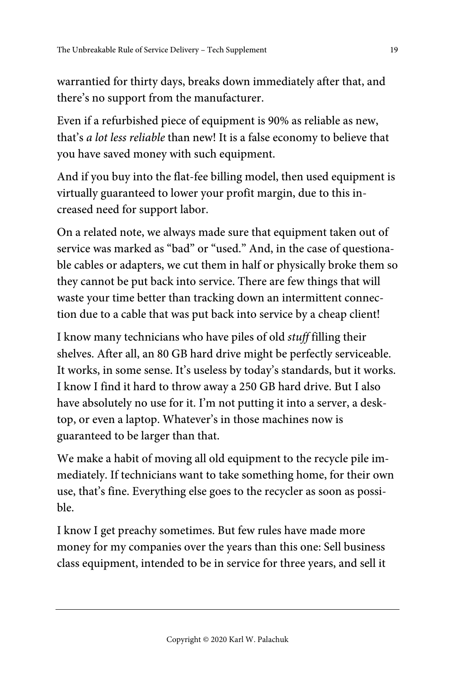warrantied for thirty days, breaks down immediately after that, and there's no support from the manufacturer.

Even if a refurbished piece of equipment is 90% as reliable as new, that's a lot less reliable than new! It is a false economy to believe that you have saved money with such equipment.

And if you buy into the flat-fee billing model, then used equipment is virtually guaranteed to lower your profit margin, due to this increased need for support labor.

On a related note, we always made sure that equipment taken out of service was marked as "bad" or "used." And, in the case of questionable cables or adapters, we cut them in half or physically broke them so they cannot be put back into service. There are few things that will waste your time better than tracking down an intermittent connection due to a cable that was put back into service by a cheap client!

I know many technicians who have piles of old stuff filling their shelves. After all, an 80 GB hard drive might be perfectly serviceable. It works, in some sense. It's useless by today's standards, but it works. I know I find it hard to throw away a 250 GB hard drive. But I also have absolutely no use for it. I'm not putting it into a server, a desktop, or even a laptop. Whatever's in those machines now is guaranteed to be larger than that.

We make a habit of moving all old equipment to the recycle pile immediately. If technicians want to take something home, for their own use, that's fine. Everything else goes to the recycler as soon as possible.

I know I get preachy sometimes. But few rules have made more money for my companies over the years than this one: Sell business class equipment, intended to be in service for three years, and sell it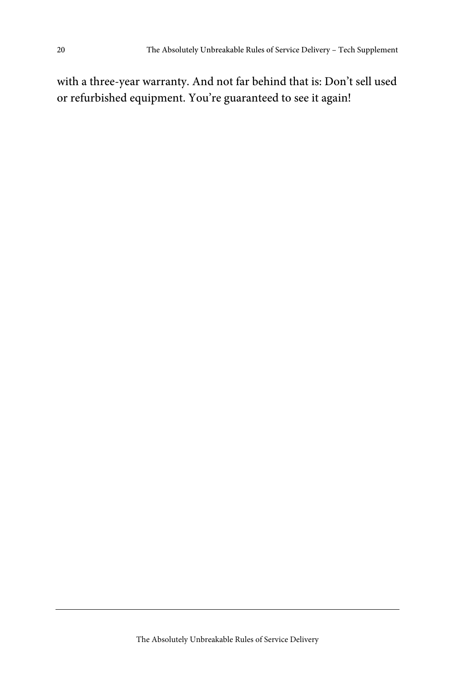with a three-year warranty. And not far behind that is: Don't sell used or refurbished equipment. You're guaranteed to see it again!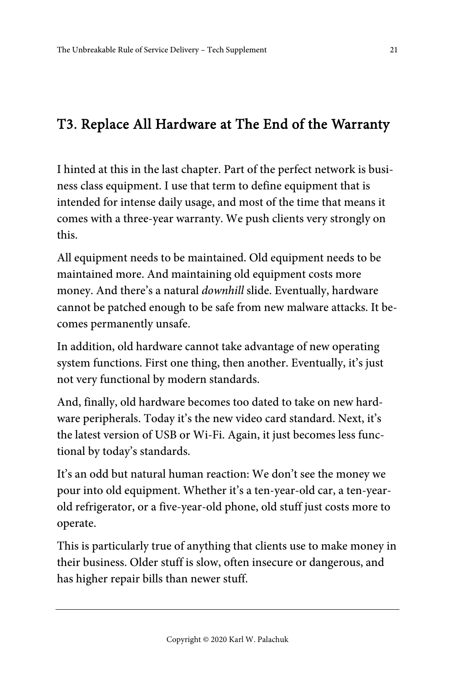## T3. Replace All Hardware at The End of the Warranty

I hinted at this in the last chapter. Part of the perfect network is business class equipment. I use that term to define equipment that is intended for intense daily usage, and most of the time that means it comes with a three-year warranty. We push clients very strongly on this.

All equipment needs to be maintained. Old equipment needs to be maintained more. And maintaining old equipment costs more money. And there's a natural downhill slide. Eventually, hardware cannot be patched enough to be safe from new malware attacks. It becomes permanently unsafe.

In addition, old hardware cannot take advantage of new operating system functions. First one thing, then another. Eventually, it's just not very functional by modern standards.

And, finally, old hardware becomes too dated to take on new hardware peripherals. Today it's the new video card standard. Next, it's the latest version of USB or Wi-Fi. Again, it just becomes less functional by today's standards.

It's an odd but natural human reaction: We don't see the money we pour into old equipment. Whether it's a ten-year-old car, a ten-yearold refrigerator, or a five-year-old phone, old stuff just costs more to operate.

This is particularly true of anything that clients use to make money in their business. Older stuff is slow, often insecure or dangerous, and has higher repair bills than newer stuff.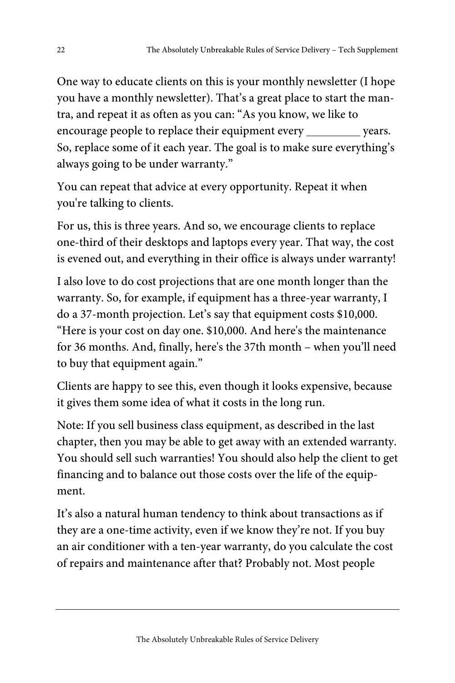One way to educate clients on this is your monthly newsletter (I hope you have a monthly newsletter). That's a great place to start the mantra, and repeat it as often as you can: "As you know, we like to encourage people to replace their equipment every vears. So, replace some of it each year. The goal is to make sure everything's always going to be under warranty."

You can repeat that advice at every opportunity. Repeat it when you're talking to clients.

For us, this is three years. And so, we encourage clients to replace one-third of their desktops and laptops every year. That way, the cost is evened out, and everything in their office is always under warranty!

I also love to do cost projections that are one month longer than the warranty. So, for example, if equipment has a three-year warranty, I do a 37-month projection. Let's say that equipment costs \$10,000. "Here is your cost on day one. \$10,000. And here's the maintenance for 36 months. And, finally, here's the 37th month – when you'll need to buy that equipment again."

Clients are happy to see this, even though it looks expensive, because it gives them some idea of what it costs in the long run.

Note: If you sell business class equipment, as described in the last chapter, then you may be able to get away with an extended warranty. You should sell such warranties! You should also help the client to get financing and to balance out those costs over the life of the equipment.

It's also a natural human tendency to think about transactions as if they are a one-time activity, even if we know they're not. If you buy an air conditioner with a ten-year warranty, do you calculate the cost of repairs and maintenance after that? Probably not. Most people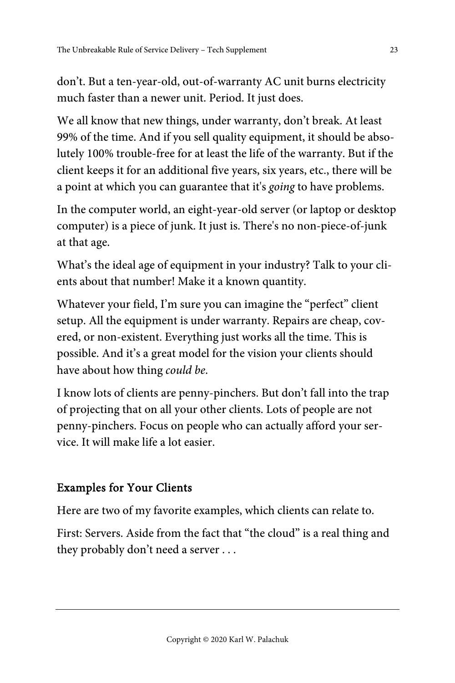don't. But a ten-year-old, out-of-warranty AC unit burns electricity much faster than a newer unit. Period. It just does.

We all know that new things, under warranty, don't break. At least 99% of the time. And if you sell quality equipment, it should be absolutely 100% trouble-free for at least the life of the warranty. But if the client keeps it for an additional five years, six years, etc., there will be a point at which you can guarantee that it's going to have problems.

In the computer world, an eight-year-old server (or laptop or desktop computer) is a piece of junk. It just is. There's no non-piece-of-junk at that age.

What's the ideal age of equipment in your industry? Talk to your clients about that number! Make it a known quantity.

Whatever your field, I'm sure you can imagine the "perfect" client setup. All the equipment is under warranty. Repairs are cheap, covered, or non-existent. Everything just works all the time. This is possible. And it's a great model for the vision your clients should have about how thing could be.

I know lots of clients are penny-pinchers. But don't fall into the trap of projecting that on all your other clients. Lots of people are not penny-pinchers. Focus on people who can actually afford your service. It will make life a lot easier.

#### Examples for Your Clients

Here are two of my favorite examples, which clients can relate to.

First: Servers. Aside from the fact that "the cloud" is a real thing and they probably don't need a server . . .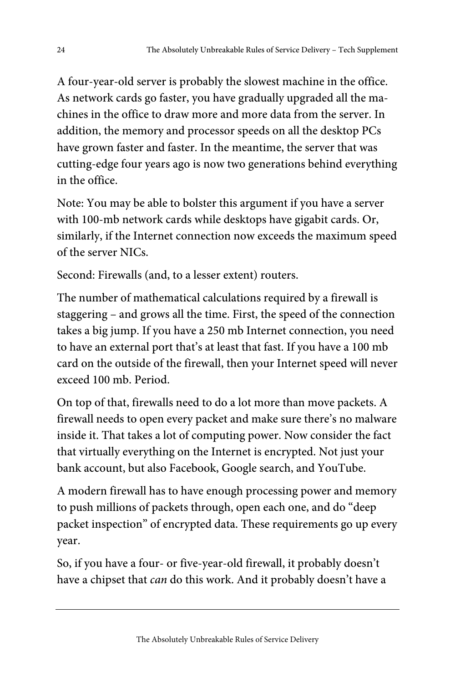A four-year-old server is probably the slowest machine in the office. As network cards go faster, you have gradually upgraded all the machines in the office to draw more and more data from the server. In addition, the memory and processor speeds on all the desktop PCs have grown faster and faster. In the meantime, the server that was cutting-edge four years ago is now two generations behind everything in the office.

Note: You may be able to bolster this argument if you have a server with 100-mb network cards while desktops have gigabit cards. Or, similarly, if the Internet connection now exceeds the maximum speed of the server NICs.

Second: Firewalls (and, to a lesser extent) routers.

The number of mathematical calculations required by a firewall is staggering – and grows all the time. First, the speed of the connection takes a big jump. If you have a 250 mb Internet connection, you need to have an external port that's at least that fast. If you have a 100 mb card on the outside of the firewall, then your Internet speed will never exceed 100 mb. Period.

On top of that, firewalls need to do a lot more than move packets. A firewall needs to open every packet and make sure there's no malware inside it. That takes a lot of computing power. Now consider the fact that virtually everything on the Internet is encrypted. Not just your bank account, but also Facebook, Google search, and YouTube.

A modern firewall has to have enough processing power and memory to push millions of packets through, open each one, and do "deep packet inspection" of encrypted data. These requirements go up every year.

So, if you have a four- or five-year-old firewall, it probably doesn't have a chipset that *can* do this work. And it probably doesn't have a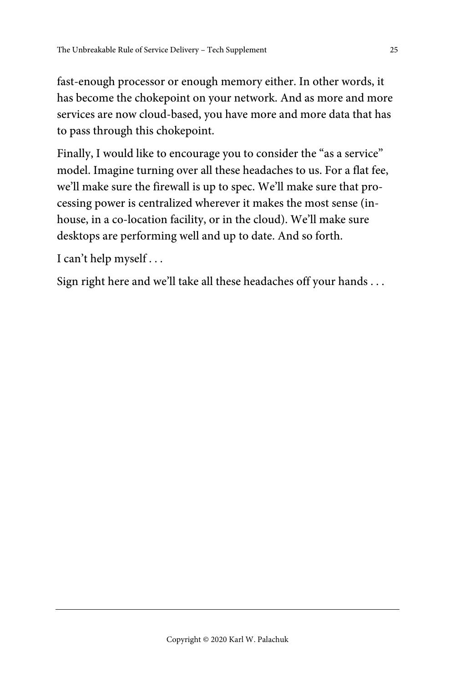fast-enough processor or enough memory either. In other words, it has become the chokepoint on your network. And as more and more services are now cloud-based, you have more and more data that has to pass through this chokepoint.

Finally, I would like to encourage you to consider the "as a service" model. Imagine turning over all these headaches to us. For a flat fee, we'll make sure the firewall is up to spec. We'll make sure that processing power is centralized wherever it makes the most sense (inhouse, in a co-location facility, or in the cloud). We'll make sure desktops are performing well and up to date. And so forth.

I can't help myself . . .

Sign right here and we'll take all these headaches off your hands . . .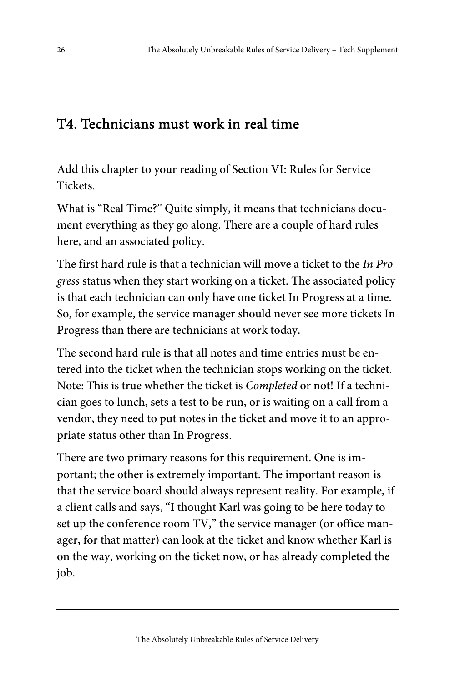## T4. Technicians must work in real time

Add this chapter to your reading of Section VI: Rules for Service Tickets.

What is "Real Time?" Quite simply, it means that technicians document everything as they go along. There are a couple of hard rules here, and an associated policy.

The first hard rule is that a technician will move a ticket to the In Progress status when they start working on a ticket. The associated policy is that each technician can only have one ticket In Progress at a time. So, for example, the service manager should never see more tickets In Progress than there are technicians at work today.

The second hard rule is that all notes and time entries must be entered into the ticket when the technician stops working on the ticket. Note: This is true whether the ticket is Completed or not! If a technician goes to lunch, sets a test to be run, or is waiting on a call from a vendor, they need to put notes in the ticket and move it to an appropriate status other than In Progress.

There are two primary reasons for this requirement. One is important; the other is extremely important. The important reason is that the service board should always represent reality. For example, if a client calls and says, "I thought Karl was going to be here today to set up the conference room TV," the service manager (or office manager, for that matter) can look at the ticket and know whether Karl is on the way, working on the ticket now, or has already completed the job.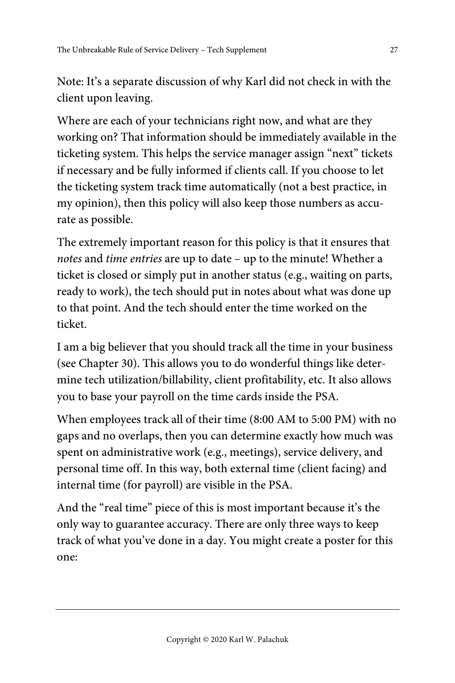Note: It's a separate discussion of why Karl did not check in with the client upon leaving.

Where are each of your technicians right now, and what are they working on? That information should be immediately available in the ticketing system. This helps the service manager assign "next" tickets if necessary and be fully informed if clients call. If you choose to let the ticketing system track time automatically (not a best practice, in my opinion), then this policy will also keep those numbers as accurate as possible.

The extremely important reason for this policy is that it ensures that notes and time entries are up to date – up to the minute! Whether a ticket is closed or simply put in another status (e.g., waiting on parts, ready to work), the tech should put in notes about what was done up to that point. And the tech should enter the time worked on the ticket.

I am a big believer that you should track all the time in your business (see Chapter 30). This allows you to do wonderful things like determine tech utilization/billability, client profitability, etc. It also allows you to base your payroll on the time cards inside the PSA.

When employees track all of their time (8:00 AM to 5:00 PM) with no gaps and no overlaps, then you can determine exactly how much was spent on administrative work (e.g., meetings), service delivery, and personal time off. In this way, both external time (client facing) and internal time (for payroll) are visible in the PSA.

And the "real time" piece of this is most important because it's the only way to guarantee accuracy. There are only three ways to keep track of what you've done in a day. You might create a poster for this one: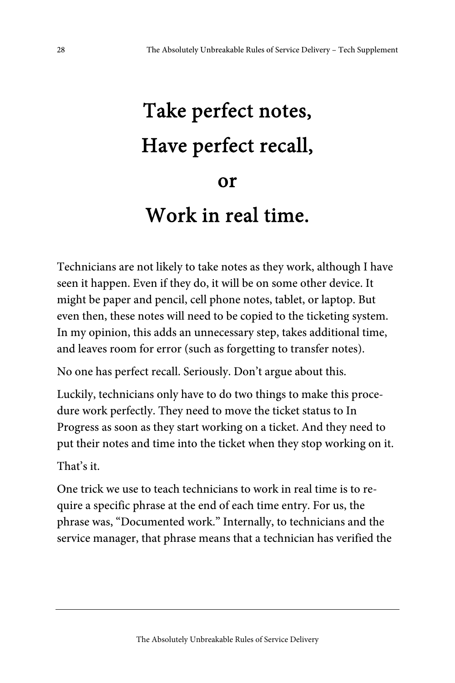# Take perfect notes, Have perfect recall, or Work in real time.

Technicians are not likely to take notes as they work, although I have seen it happen. Even if they do, it will be on some other device. It might be paper and pencil, cell phone notes, tablet, or laptop. But even then, these notes will need to be copied to the ticketing system. In my opinion, this adds an unnecessary step, takes additional time, and leaves room for error (such as forgetting to transfer notes).

No one has perfect recall. Seriously. Don't argue about this.

Luckily, technicians only have to do two things to make this procedure work perfectly. They need to move the ticket status to In Progress as soon as they start working on a ticket. And they need to put their notes and time into the ticket when they stop working on it.

That's it.

One trick we use to teach technicians to work in real time is to require a specific phrase at the end of each time entry. For us, the phrase was, "Documented work." Internally, to technicians and the service manager, that phrase means that a technician has verified the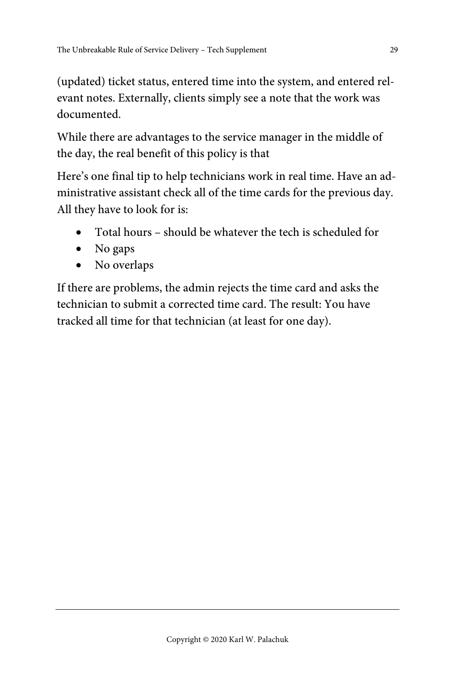(updated) ticket status, entered time into the system, and entered relevant notes. Externally, clients simply see a note that the work was documented.

While there are advantages to the service manager in the middle of the day, the real benefit of this policy is that

Here's one final tip to help technicians work in real time. Have an administrative assistant check all of the time cards for the previous day. All they have to look for is:

- Total hours should be whatever the tech is scheduled for
- No gaps
- No overlaps

If there are problems, the admin rejects the time card and asks the technician to submit a corrected time card. The result: You have tracked all time for that technician (at least for one day).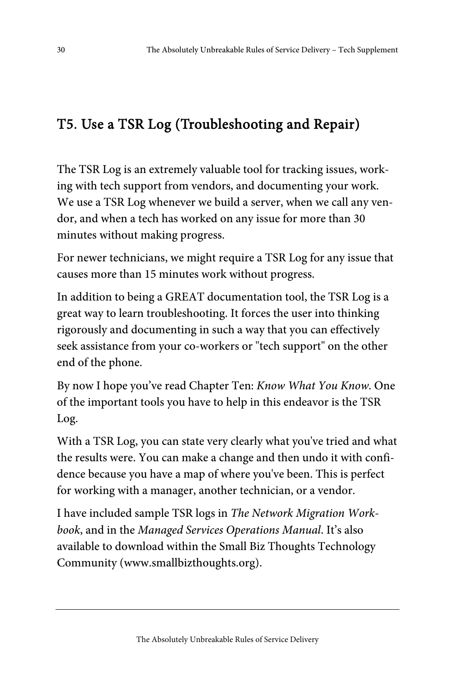## T5. Use a TSR Log (Troubleshooting and Repair)

The TSR Log is an extremely valuable tool for tracking issues, working with tech support from vendors, and documenting your work. We use a TSR Log whenever we build a server, when we call any vendor, and when a tech has worked on any issue for more than 30 minutes without making progress.

For newer technicians, we might require a TSR Log for any issue that causes more than 15 minutes work without progress.

In addition to being a GREAT documentation tool, the TSR Log is a great way to learn troubleshooting. It forces the user into thinking rigorously and documenting in such a way that you can effectively seek assistance from your co-workers or "tech support" on the other end of the phone.

By now I hope you've read Chapter Ten: *Know What You Know*. One of the important tools you have to help in this endeavor is the TSR Log.

With a TSR Log, you can state very clearly what you've tried and what the results were. You can make a change and then undo it with confidence because you have a map of where you've been. This is perfect for working with a manager, another technician, or a vendor.

I have included sample TSR logs in The Network Migration Workbook, and in the Managed Services Operations Manual. It's also available to download within the Small Biz Thoughts Technology Community (www.smallbizthoughts.org).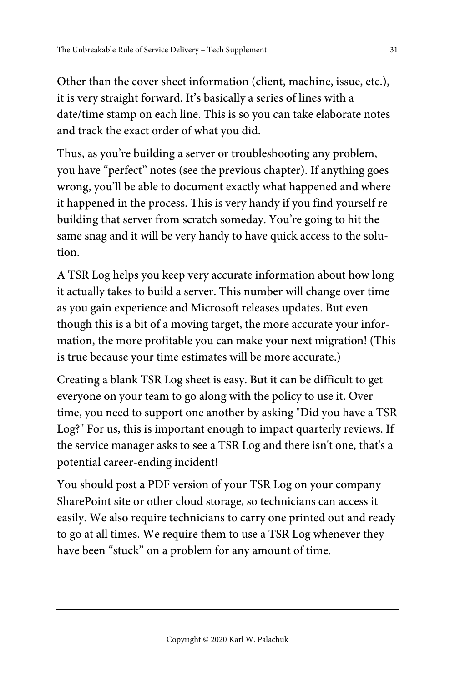Other than the cover sheet information (client, machine, issue, etc.), it is very straight forward. It's basically a series of lines with a date/time stamp on each line. This is so you can take elaborate notes and track the exact order of what you did.

Thus, as you're building a server or troubleshooting any problem, you have "perfect" notes (see the previous chapter). If anything goes wrong, you'll be able to document exactly what happened and where it happened in the process. This is very handy if you find yourself rebuilding that server from scratch someday. You're going to hit the same snag and it will be very handy to have quick access to the solution.

A TSR Log helps you keep very accurate information about how long it actually takes to build a server. This number will change over time as you gain experience and Microsoft releases updates. But even though this is a bit of a moving target, the more accurate your information, the more profitable you can make your next migration! (This is true because your time estimates will be more accurate.)

Creating a blank TSR Log sheet is easy. But it can be difficult to get everyone on your team to go along with the policy to use it. Over time, you need to support one another by asking "Did you have a TSR Log?" For us, this is important enough to impact quarterly reviews. If the service manager asks to see a TSR Log and there isn't one, that's a potential career-ending incident!

You should post a PDF version of your TSR Log on your company SharePoint site or other cloud storage, so technicians can access it easily. We also require technicians to carry one printed out and ready to go at all times. We require them to use a TSR Log whenever they have been "stuck" on a problem for any amount of time.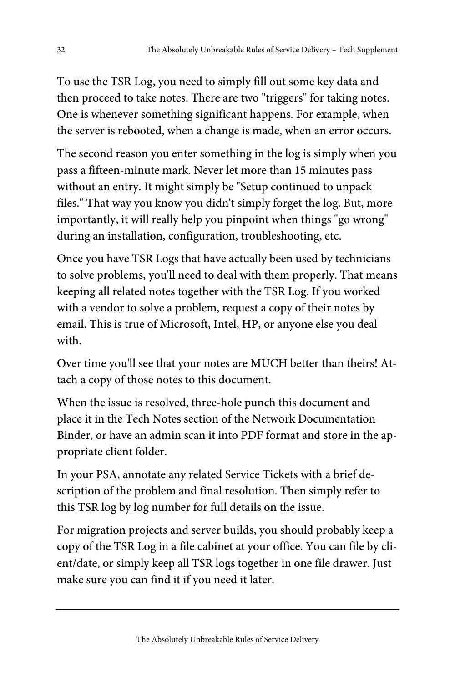To use the TSR Log, you need to simply fill out some key data and then proceed to take notes. There are two "triggers" for taking notes. One is whenever something significant happens. For example, when the server is rebooted, when a change is made, when an error occurs.

The second reason you enter something in the log is simply when you pass a fifteen-minute mark. Never let more than 15 minutes pass without an entry. It might simply be "Setup continued to unpack files." That way you know you didn't simply forget the log. But, more importantly, it will really help you pinpoint when things "go wrong" during an installation, configuration, troubleshooting, etc.

Once you have TSR Logs that have actually been used by technicians to solve problems, you'll need to deal with them properly. That means keeping all related notes together with the TSR Log. If you worked with a vendor to solve a problem, request a copy of their notes by email. This is true of Microsoft, Intel, HP, or anyone else you deal with.

Over time you'll see that your notes are MUCH better than theirs! Attach a copy of those notes to this document.

When the issue is resolved, three-hole punch this document and place it in the Tech Notes section of the Network Documentation Binder, or have an admin scan it into PDF format and store in the appropriate client folder.

In your PSA, annotate any related Service Tickets with a brief description of the problem and final resolution. Then simply refer to this TSR log by log number for full details on the issue.

For migration projects and server builds, you should probably keep a copy of the TSR Log in a file cabinet at your office. You can file by client/date, or simply keep all TSR logs together in one file drawer. Just make sure you can find it if you need it later.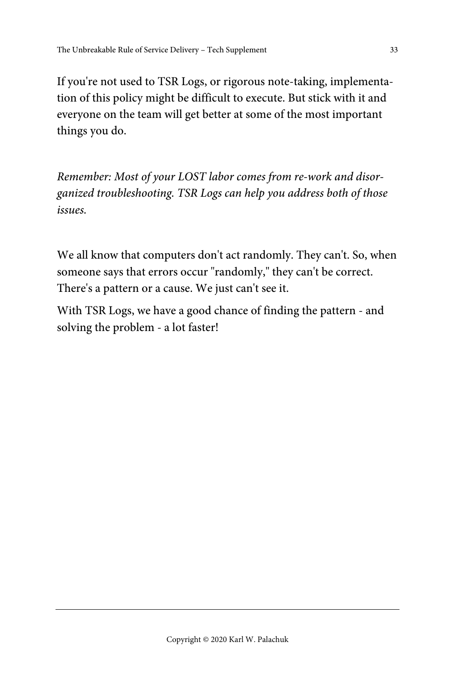If you're not used to TSR Logs, or rigorous note-taking, implementation of this policy might be difficult to execute. But stick with it and everyone on the team will get better at some of the most important things you do.

Remember: Most of your LOST labor comes from re-work and disorganized troubleshooting. TSR Logs can help you address both of those issues.

We all know that computers don't act randomly. They can't. So, when someone says that errors occur "randomly," they can't be correct. There's a pattern or a cause. We just can't see it.

With TSR Logs, we have a good chance of finding the pattern - and solving the problem - a lot faster!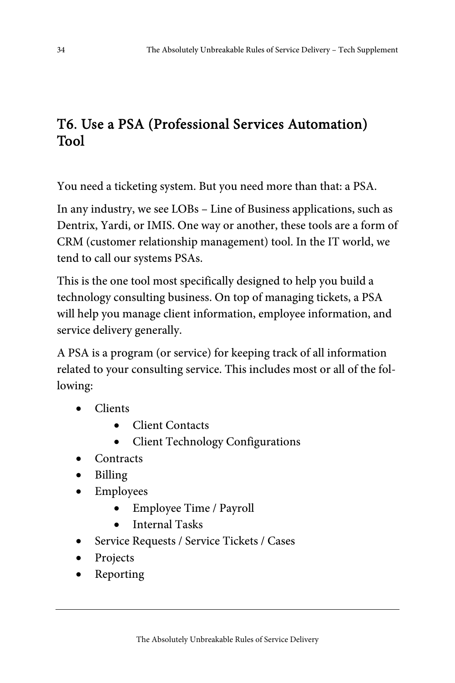## T6. Use a PSA (Professional Services Automation) Tool

You need a ticketing system. But you need more than that: a PSA.

In any industry, we see LOBs – Line of Business applications, such as Dentrix, Yardi, or IMIS. One way or another, these tools are a form of CRM (customer relationship management) tool. In the IT world, we tend to call our systems PSAs.

This is the one tool most specifically designed to help you build a technology consulting business. On top of managing tickets, a PSA will help you manage client information, employee information, and service delivery generally.

A PSA is a program (or service) for keeping track of all information related to your consulting service. This includes most or all of the following:

- Clients
	- Client Contacts
	- Client Technology Configurations
- **Contracts**
- Billing
- Employees
	- Employee Time / Payroll
	- Internal Tasks
- Service Requests / Service Tickets / Cases
- Projects
- Reporting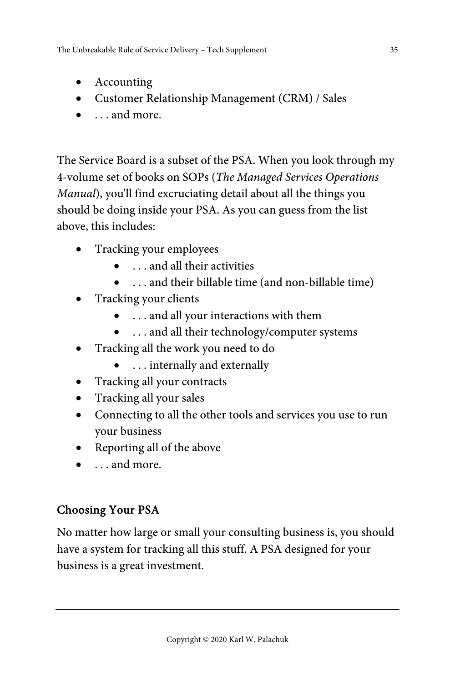- Accounting
- Customer Relationship Management (CRM) / Sales
- . . . and more.

The Service Board is a subset of the PSA. When you look through my 4-volume set of books on SOPs (The Managed Services Operations Manual), you'll find excruciating detail about all the things you should be doing inside your PSA. As you can guess from the list above, this includes:

- Tracking your employees
	- . . . and all their activities
	- . . . and their billable time (and non-billable time)
- Tracking your clients
	- . . . and all your interactions with them
	- ... and all their technology/computer systems
- Tracking all the work you need to do
	- . . . internally and externally
- Tracking all your contracts
- Tracking all your sales
- Connecting to all the other tools and services you use to run your business
- Reporting all of the above
- . . . and more.

#### Choosing Your PSA

No matter how large or small your consulting business is, you should have a system for tracking all this stuff. A PSA designed for your business is a great investment.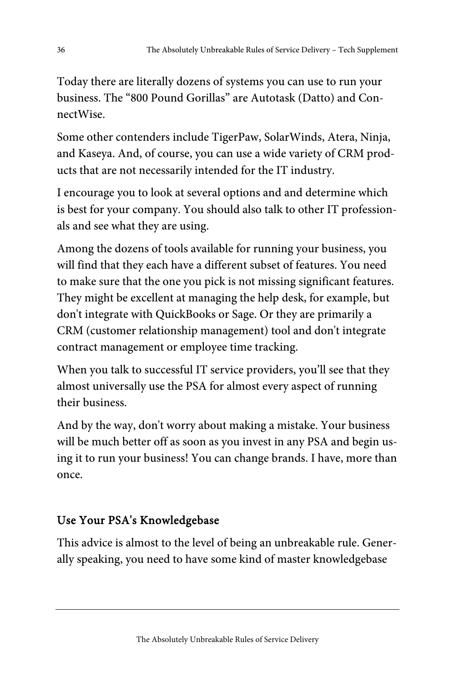Today there are literally dozens of systems you can use to run your business. The "800 Pound Gorillas" are Autotask (Datto) and ConnectWise.

Some other contenders include TigerPaw, SolarWinds, Atera, Ninja, and Kaseya. And, of course, you can use a wide variety of CRM products that are not necessarily intended for the IT industry.

I encourage you to look at several options and and determine which is best for your company. You should also talk to other IT professionals and see what they are using.

Among the dozens of tools available for running your business, you will find that they each have a different subset of features. You need to make sure that the one you pick is not missing significant features. They might be excellent at managing the help desk, for example, but don't integrate with QuickBooks or Sage. Or they are primarily a CRM (customer relationship management) tool and don't integrate contract management or employee time tracking.

When you talk to successful IT service providers, you'll see that they almost universally use the PSA for almost every aspect of running their business.

And by the way, don't worry about making a mistake. Your business will be much better off as soon as you invest in any PSA and begin using it to run your business! You can change brands. I have, more than once.

#### Use Your PSA's Knowledgebase

This advice is almost to the level of being an unbreakable rule. Generally speaking, you need to have some kind of master knowledgebase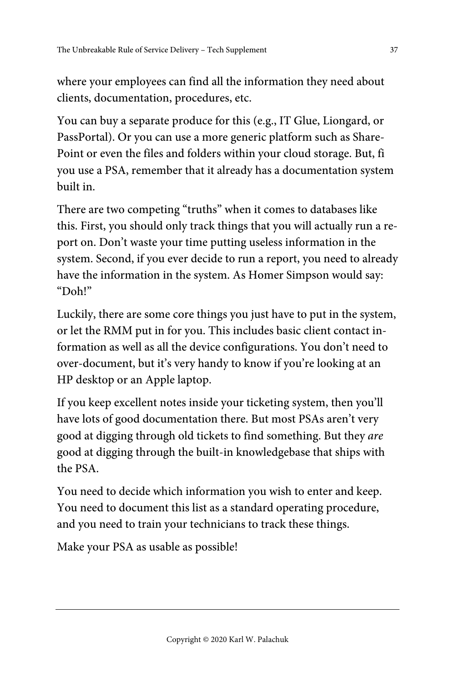where your employees can find all the information they need about clients, documentation, procedures, etc.

You can buy a separate produce for this (e.g., IT Glue, Liongard, or PassPortal). Or you can use a more generic platform such as Share-Point or even the files and folders within your cloud storage. But, fi you use a PSA, remember that it already has a documentation system built in.

There are two competing "truths" when it comes to databases like this. First, you should only track things that you will actually run a report on. Don't waste your time putting useless information in the system. Second, if you ever decide to run a report, you need to already have the information in the system. As Homer Simpson would say: "Doh!"

Luckily, there are some core things you just have to put in the system, or let the RMM put in for you. This includes basic client contact information as well as all the device configurations. You don't need to over-document, but it's very handy to know if you're looking at an HP desktop or an Apple laptop.

If you keep excellent notes inside your ticketing system, then you'll have lots of good documentation there. But most PSAs aren't very good at digging through old tickets to find something. But they are good at digging through the built-in knowledgebase that ships with the PSA.

You need to decide which information you wish to enter and keep. You need to document this list as a standard operating procedure, and you need to train your technicians to track these things.

Make your PSA as usable as possible!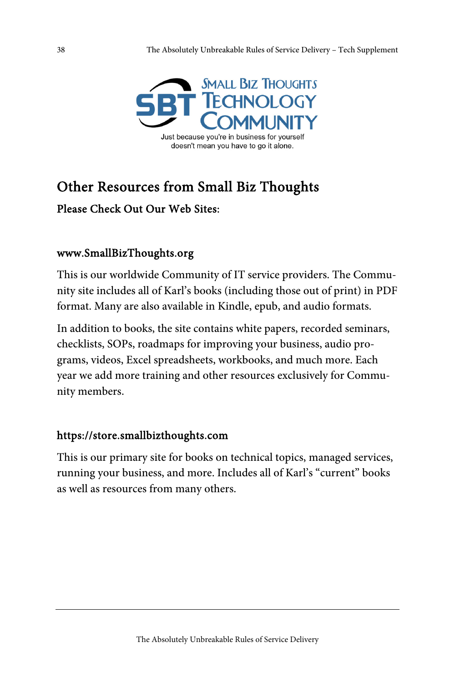

## Other Resources from Small Biz Thoughts

Please Check Out Our Web Sites:

#### www.SmallBizThoughts.org

This is our worldwide Community of IT service providers. The Community site includes all of Karl's books (including those out of print) in PDF format. Many are also available in Kindle, epub, and audio formats.

In addition to books, the site contains white papers, recorded seminars, checklists, SOPs, roadmaps for improving your business, audio programs, videos, Excel spreadsheets, workbooks, and much more. Each year we add more training and other resources exclusively for Community members.

#### https://store.smallbizthoughts.com

This is our primary site for books on technical topics, managed services, running your business, and more. Includes all of Karl's "current" books as well as resources from many others.